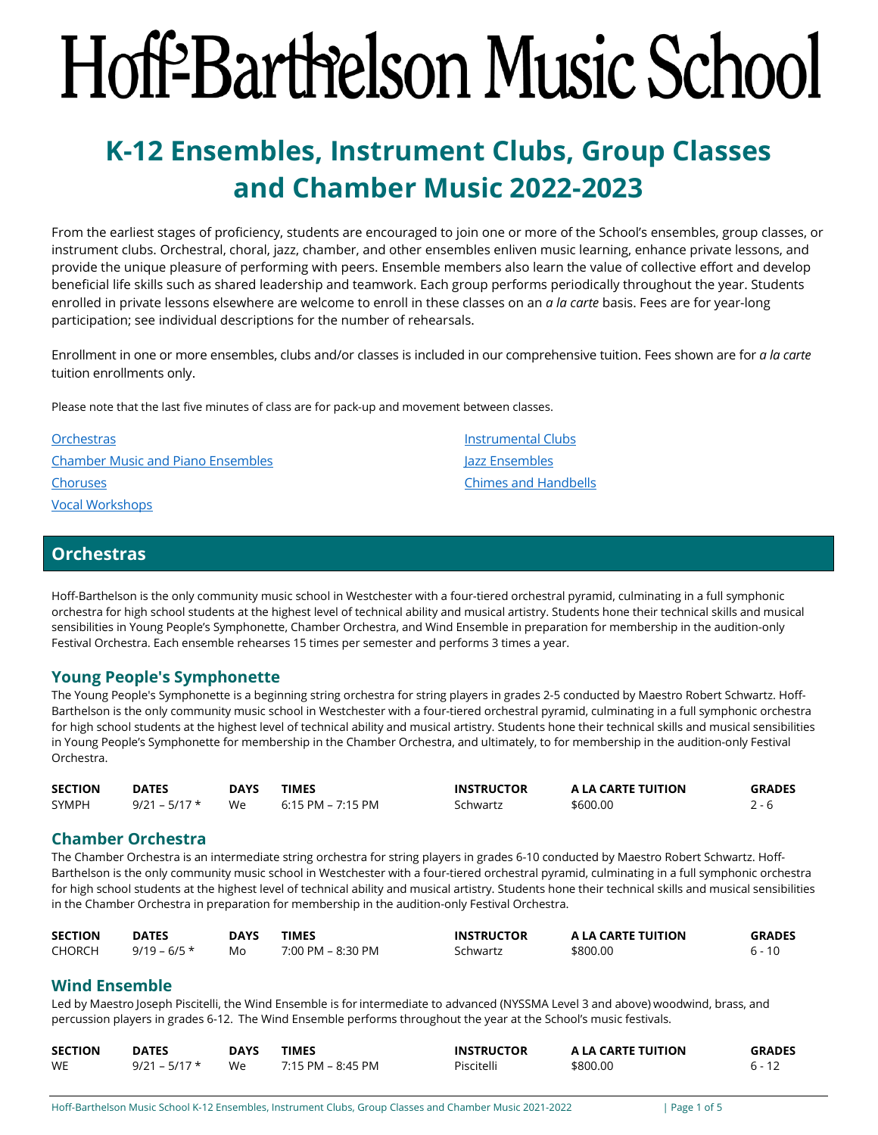# <span id="page-0-1"></span>Hoff-Barthelson Music School

# **K-12 Ensembles, Instrument Clubs, Group Classes and Chamber Music 2022-2023**

From the earliest stages of proficiency, students are encouraged to join one or more of the School's ensembles, group classes, or instrument clubs. Orchestral, choral, jazz, chamber, and other ensembles enliven music learning, enhance private lessons, and provide the unique pleasure of performing with peers. Ensemble members also learn the value of collective effort and develop beneficial life skills such as shared leadership and teamwork. Each group performs periodically throughout the year. Students enrolled in private lessons elsewhere are welcome to enroll in these classes on an *a la carte* basis. Fees are for year-long participation; see individual descriptions for the number of rehearsals.

Enrollment in one or more ensembles, clubs and/or classes is included in our comprehensive tuition. Fees shown are for *a la carte* tuition enrollments only.

Please note that the last five minutes of class are for pack-up and movement between classes.

| <b>Orchestras</b>                        | Instrumental Clubs          |
|------------------------------------------|-----------------------------|
| <b>Chamber Music and Piano Ensembles</b> | Jazz Ensembles              |
| <b>Choruses</b>                          | <b>Chimes and Handbells</b> |
| <b>Vocal Workshops</b>                   |                             |

# <span id="page-0-0"></span>**Orchestras**

Hoff-Barthelson is the only community music school in Westchester with a four-tiered orchestral pyramid, culminating in a full symphonic orchestra for high school students at the highest level of technical ability and musical artistry. Students hone their technical skills and musical sensibilities in Young People's Symphonette, Chamber Orchestra, and Wind Ensemble in preparation for membership in the audition-only Festival Orchestra. Each ensemble rehearses 15 times per semester and performs 3 times a year.

# **Young People's Symphonette**

The Young People's Symphonette is a beginning string orchestra for string players in grades 2-5 conducted by Maestro Robert Schwartz. Hoff-Barthelson is the only community music school in Westchester with a four-tiered orchestral pyramid, culminating in a full symphonic orchestra for high school students at the highest level of technical ability and musical artistry. Students hone their technical skills and musical sensibilities in Young People's Symphonette for membership in the Chamber Orchestra, and ultimately, to for membership in the audition-only Festival Orchestra.

| <b>SECTION</b> | <b>DATES</b>    | <b>DAYS</b> | <b>TIMES</b>      | <b>INSTRUCTOR</b> | A LA CARTE TUITION | <b>GRADES</b> |
|----------------|-----------------|-------------|-------------------|-------------------|--------------------|---------------|
| <b>SYMPH</b>   | $9/21 - 5/17$ * | We          | 6:15 PM – 7:15 PM | Schwartz          | \$600.00           |               |

# **Chamber Orchestra**

The Chamber Orchestra is an intermediate string orchestra for string players in grades 6-10 conducted by Maestro Robert Schwartz. Hoff-Barthelson is the only community music school in Westchester with a four-tiered orchestral pyramid, culminating in a full symphonic orchestra for high school students at the highest level of technical ability and musical artistry. Students hone their technical skills and musical sensibilities in the Chamber Orchestra in preparation for membership in the audition-only Festival Orchestra.

| <b>SECTION</b> | <b>DATES</b>   | <b>DAYS</b> | TIMES             | <b>INSTRUCTOR</b> | A LA CARTE TUITION | <b>GRADES</b> |
|----------------|----------------|-------------|-------------------|-------------------|--------------------|---------------|
| <b>CHORCH</b>  | $9/19 - 6/5$ * | Mo          | 7:00 PM – 8:30 PM | Schwartz          | \$800.00           | 6 - 10        |

# **Wind Ensemble**

Led by Maestro Joseph Piscitelli, the Wind Ensemble is for intermediate to advanced (NYSSMA Level 3 and above) woodwind, brass, and percussion players in grades 6-12. The Wind Ensemble performs throughout the year at the School's music festivals.

| <b>SECTION</b> | <b>DATES</b>    | <b>DAYS</b> | <b>TIMES</b>      | <b>INSTRUCTOR</b> | A LA CARTE TUITION | <b>GRADES</b> |
|----------------|-----------------|-------------|-------------------|-------------------|--------------------|---------------|
| WE             | $9/21 - 5/17$ * | We          | 7:15 PM – 8:45 PM | Piscitelli        | \$800.00           | $6 - 12$      |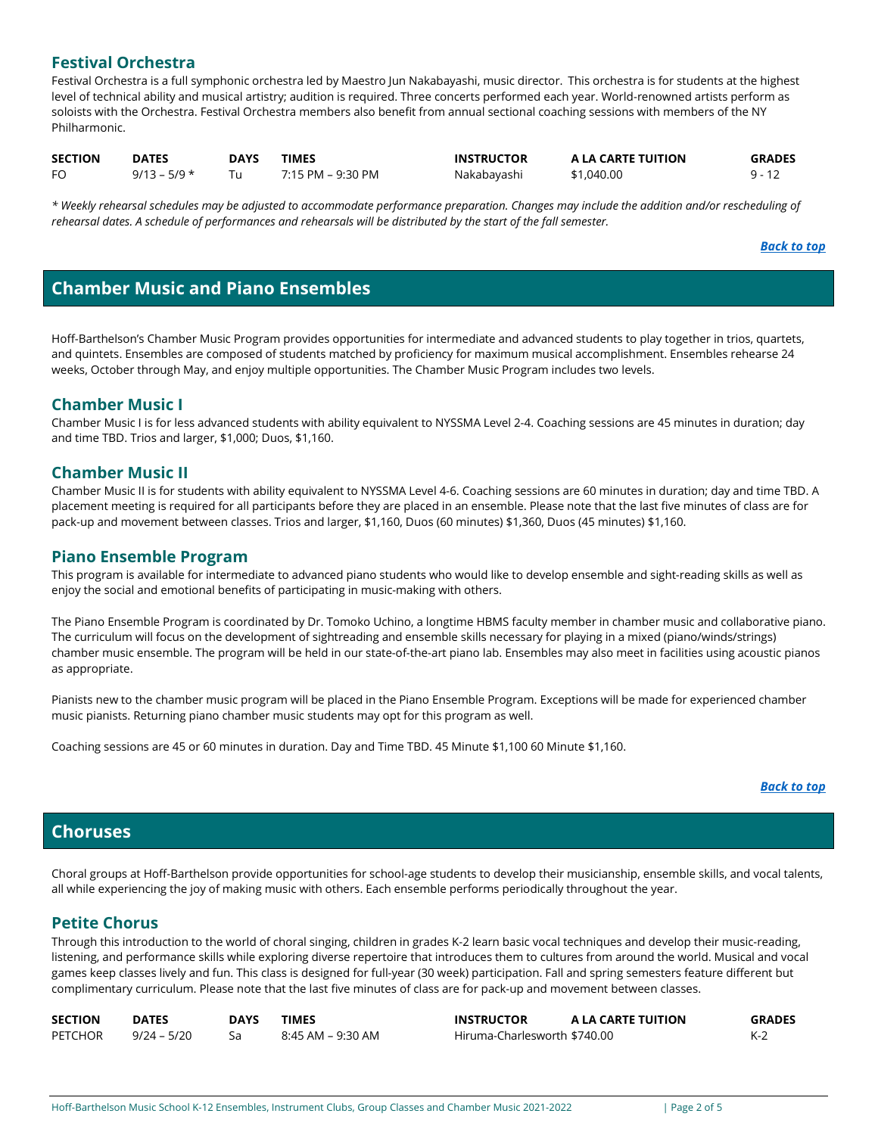# **Festival Orchestra**

Festival Orchestra is a full symphonic orchestra led by Maestro Jun Nakabayashi, music director. This orchestra is for students at the highest level of technical ability and musical artistry; audition is required. Three concerts performed each year. World-renowned artists perform as soloists with the Orchestra. Festival Orchestra members also benefit from annual sectional coaching sessions with members of the NY Philharmonic.

| <b>SECTION</b> | <b>DATES</b>   | <b>DAYS</b> | TIMES             | <b>INSTRUCTOR</b> | A LA CARTE TUITION | <b>GRADES</b> |
|----------------|----------------|-------------|-------------------|-------------------|--------------------|---------------|
| FO             | $9/13 - 5/9$ * |             | 7:15 PM – 9:30 PM | Nakabayashi       | \$1,040.00         |               |

*\* Weekly rehearsal schedules may be adjusted to accommodate performance preparation. Changes may include the addition and/or rescheduling of rehearsal dates. A schedule of performances and rehearsals will be distributed by the start of the fall semester.* 

#### *[Back to top](#page-0-1)*

# <span id="page-1-0"></span>**Chamber Music and Piano Ensembles**

Hoff-Barthelson's Chamber Music Program provides opportunities for intermediate and advanced students to play together in trios, quartets, and quintets. Ensembles are composed of students matched by proficiency for maximum musical accomplishment. Ensembles rehearse 24 weeks, October through May, and enjoy multiple opportunities. The Chamber Music Program includes two levels.

#### **Chamber Music I**

Chamber Music I is for less advanced students with ability equivalent to NYSSMA Level 2-4. Coaching sessions are 45 minutes in duration; day and time TBD. Trios and larger, \$1,000; Duos, \$1,160.

#### **Chamber Music II**

Chamber Music II is for students with ability equivalent to NYSSMA Level 4-6. Coaching sessions are 60 minutes in duration; day and time TBD. A placement meeting is required for all participants before they are placed in an ensemble. Please note that the last five minutes of class are for pack-up and movement between classes. Trios and larger, \$1,160, Duos (60 minutes) \$1,360, Duos (45 minutes) \$1,160.

#### **Piano Ensemble Program**

This program is available for intermediate to advanced piano students who would like to develop ensemble and sight-reading skills as well as enjoy the social and emotional benefits of participating in music-making with others.

The Piano Ensemble Program is coordinated by Dr. Tomoko Uchino, a longtime HBMS faculty member in chamber music and collaborative piano. The curriculum will focus on the development of sightreading and ensemble skills necessary for playing in a mixed (piano/winds/strings) chamber music ensemble. The program will be held in our state-of-the-art piano lab. Ensembles may also meet in facilities using acoustic pianos as appropriate.

Pianists new to the chamber music program will be placed in the Piano Ensemble Program. Exceptions will be made for experienced chamber music pianists. Returning piano chamber music students may opt for this program as well.

Coaching sessions are 45 or 60 minutes in duration. Day and Time TBD. 45 Minute \$1,100 60 Minute \$1,160.

#### *[Back to top](#page-0-1)*

# <span id="page-1-1"></span>**Choruses**

Choral groups at Hoff-Barthelson provide opportunities for school-age students to develop their musicianship, ensemble skills, and vocal talents, all while experiencing the joy of making music with others. Each ensemble performs periodically throughout the year.

#### **Petite Chorus**

Through this introduction to the world of choral singing, children in grades K-2 learn basic vocal techniques and develop their music-reading, listening, and performance skills while exploring diverse repertoire that introduces them to cultures from around the world. Musical and vocal games keep classes lively and fun. This class is designed for full-year (30 week) participation. Fall and spring semesters feature different but complimentary curriculum. Please note that the last five minutes of class are for pack-up and movement between classes.

| <b>SECTION</b> | <b>DATES</b>  | DAYS | <b>TIMES</b>      | <b>INSTRUCTOR</b>            | A LA CARTE TUITION | <b>GRADES</b> |
|----------------|---------------|------|-------------------|------------------------------|--------------------|---------------|
| <b>PETCHOR</b> | $9/24 - 5/20$ |      | 8:45 AM – 9:30 AM | Hiruma-Charlesworth \$740.00 |                    |               |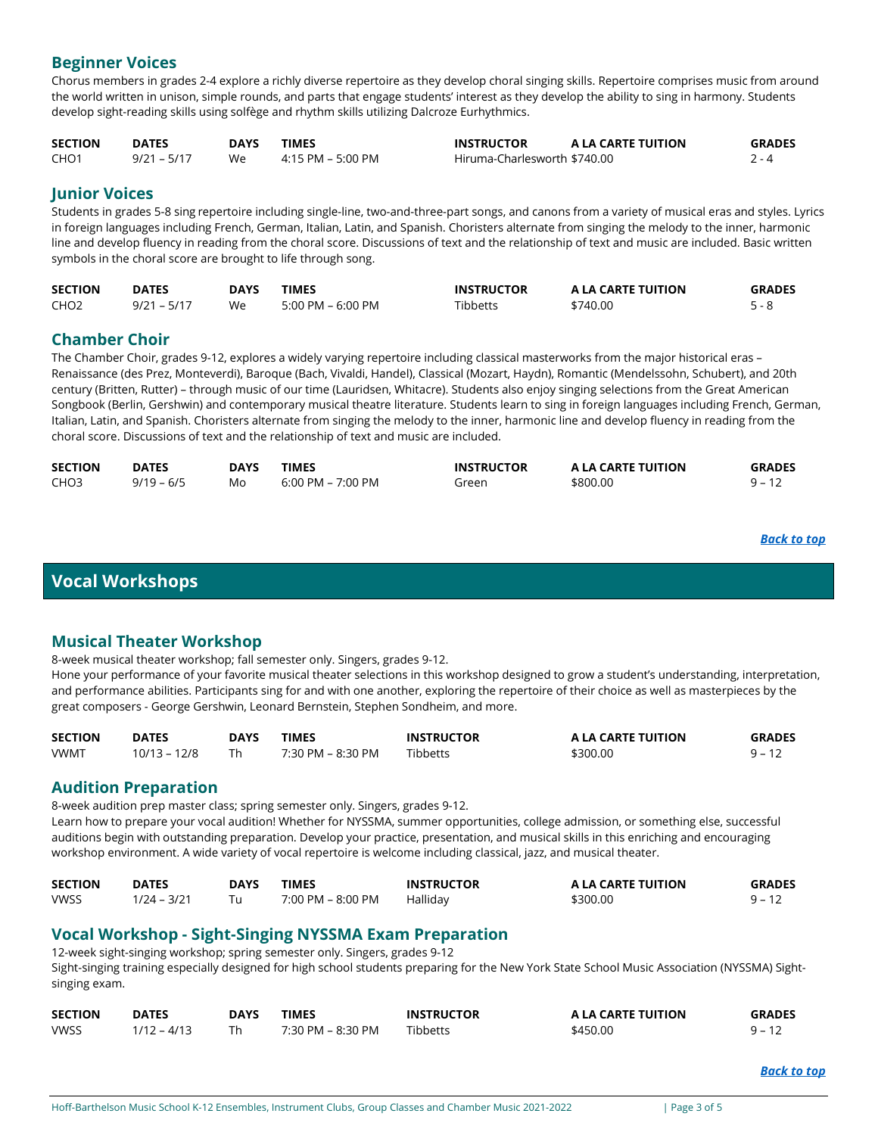# **Beginner Voices**

Chorus members in grades 2-4 explore a richly diverse repertoire as they develop choral singing skills. Repertoire comprises music from around the world written in unison, simple rounds, and parts that engage students' interest as they develop the ability to sing in harmony. Students develop sight-reading skills using solfège and rhythm skills utilizing Dalcroze Eurhythmics.

| <b>SECTION</b> | <b>DATES</b>  | <b>DAYS</b> | <b>TIMES</b>      | <b>INSTRUCTOR</b>            | A LA CARTE TUITION | <b>GRADES</b> |
|----------------|---------------|-------------|-------------------|------------------------------|--------------------|---------------|
| CHO1           | $9/21 - 5/17$ | We          | 4:15 PM – 5:00 PM | Hiruma-Charlesworth \$740.00 |                    | 2 - 4         |

## **Junior Voices**

Students in grades 5-8 sing repertoire including single-line, two-and-three-part songs, and canons from a variety of musical eras and styles. Lyrics in foreign languages including French, German, Italian, Latin, and Spanish. Choristers alternate from singing the melody to the inner, harmonic line and develop fluency in reading from the choral score. Discussions of text and the relationship of text and music are included. Basic written symbols in the choral score are brought to life through song.

| <b>SECTION</b>   | <b>DATES</b> | DAYS | <b>TIMES</b>          | <b>INSTRUCTOR</b> | A LA CARTE TUITION | <b>GRADES</b> |
|------------------|--------------|------|-----------------------|-------------------|--------------------|---------------|
| CHO <sub>2</sub> | 9/21 – 5/17  | We   | $5:00$ PM – $6:00$ PM | Tibbetts          | \$740.00           |               |

# **Chamber Choir**

The Chamber Choir, grades 9-12, explores a widely varying repertoire including classical masterworks from the major historical eras – Renaissance (des Prez, Monteverdi), Baroque (Bach, Vivaldi, Handel), Classical (Mozart, Haydn), Romantic (Mendelssohn, Schubert), and 20th century (Britten, Rutter) – through music of our time (Lauridsen, Whitacre). Students also enjoy singing selections from the Great American Songbook (Berlin, Gershwin) and contemporary musical theatre literature. Students learn to sing in foreign languages including French, German, Italian, Latin, and Spanish. Choristers alternate from singing the melody to the inner, harmonic line and develop fluency in reading from the choral score. Discussions of text and the relationship of text and music are included.

| <b>SECTION</b>   | <b>DATES</b> | <b>DAYS</b> | TIMES             | <b>INSTRUCTOR</b> | A LA CARTE TUITION | <b>GRADES</b> |
|------------------|--------------|-------------|-------------------|-------------------|--------------------|---------------|
| CHO <sub>3</sub> | $9/19 - 6/5$ | Mo          | 6:00 PM – 7:00 PM | Green             | \$800.00           | a _           |

# <span id="page-2-0"></span>**Vocal Workshops**

# **Musical Theater Workshop**

8-week musical theater workshop; fall semester only. Singers, grades 9-12.

Hone your performance of your favorite musical theater selections in this workshop designed to grow a student's understanding, interpretation, and performance abilities. Participants sing for and with one another, exploring the repertoire of their choice as well as masterpieces by the great composers - George Gershwin, Leonard Bernstein, Stephen Sondheim, and more.

| <b>SECTION</b> | <b>DATES</b>   | <b>DAYS</b> | TIMES             | <b>INSTRUCTOR</b> | A LA CARTE TUITION | <b>GRADES</b> |
|----------------|----------------|-------------|-------------------|-------------------|--------------------|---------------|
| <b>VWMT</b>    | $10/13 - 12/8$ |             | 7:30 PM – 8:30 PM | <b>Tibbetts</b>   | \$300.00           |               |

#### **Audition Preparation**

8-week audition prep master class; spring semester only. Singers, grades 9-12. Learn how to prepare your vocal audition! Whether for NYSSMA, summer opportunities, college admission, or something else, successful auditions begin with outstanding preparation. Develop your practice, presentation, and musical skills in this enriching and encouraging workshop environment. A wide variety of vocal repertoire is welcome including classical, jazz, and musical theater.

| <b>SECTION</b> | <b>DATES</b>  | <b>DAYS</b> | TIMES             | <b>INSTRUCTOR</b> | A LA CARTE TUITION | <b>GRADES</b> |
|----------------|---------------|-------------|-------------------|-------------------|--------------------|---------------|
| <b>VWSS</b>    | $1/24 - 3/21$ |             | 7:00 PM - 8:00 PM | Hallidav          | \$300.00           |               |

# **Vocal Workshop - Sight-Singing NYSSMA Exam Preparation**

12-week sight-singing workshop; spring semester only. Singers, grades 9-12

Sight-singing training especially designed for high school students preparing for the New York State School Music Association (NYSSMA) Sightsinging exam.

| <b>SECTION</b> | <b>DATES</b>  | DAYS | <b>TIMES</b>      | <b>INSTRUCTOR</b> | A LA CARTE TUITION | <b>GRADES</b> |
|----------------|---------------|------|-------------------|-------------------|--------------------|---------------|
| <b>VWSS</b>    | $1/12 - 4/13$ |      | 7:30 PM – 8:30 PM | <b>Tibbetts</b>   | \$450.00           | $9 - 12$      |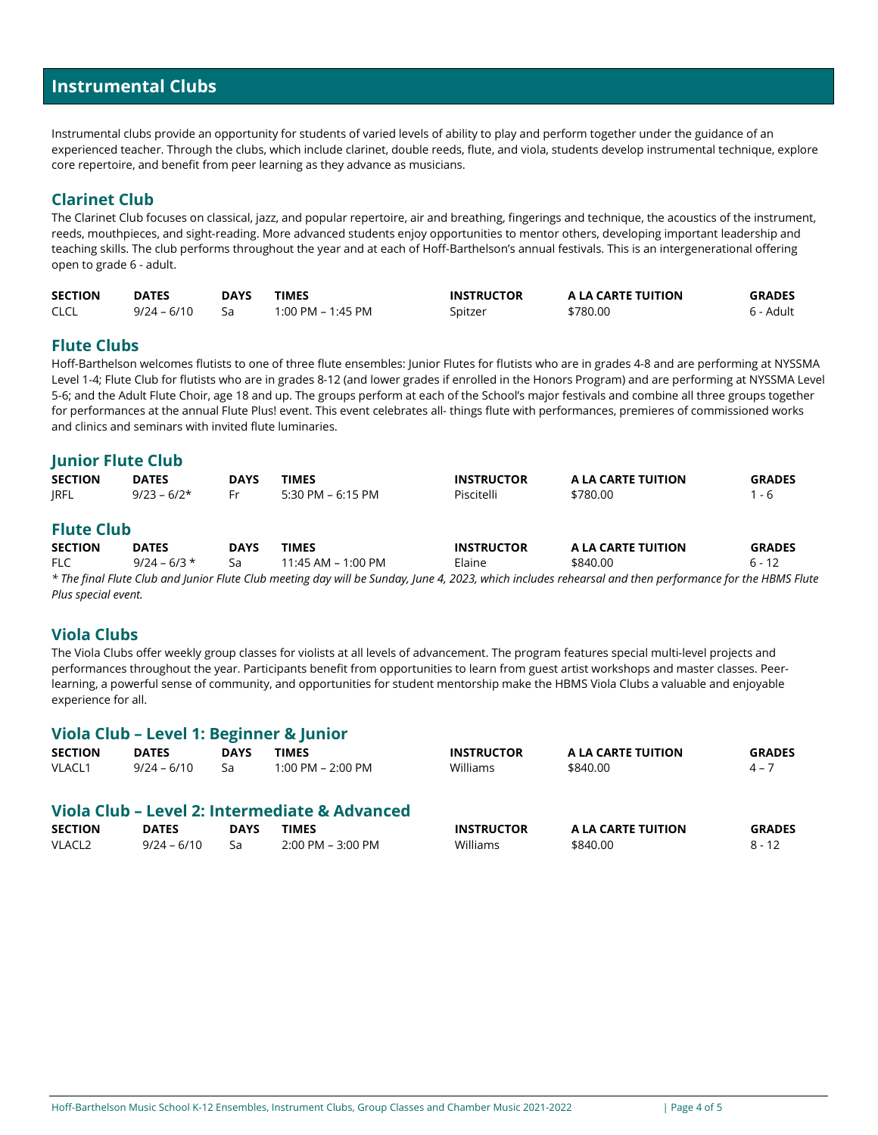# <span id="page-3-0"></span>**Instrumental Clubs**

Instrumental clubs provide an opportunity for students of varied levels of ability to play and perform together under the guidance of an experienced teacher. Through the clubs, which include clarinet, double reeds, flute, and viola, students develop instrumental technique, explore core repertoire, and benefit from peer learning as they advance as musicians.

# **Clarinet Club**

The Clarinet Club focuses on classical, jazz, and popular repertoire, air and breathing, fingerings and technique, the acoustics of the instrument, reeds, mouthpieces, and sight-reading. More advanced students enjoy opportunities to mentor others, developing important leadership and teaching skills. The club performs throughout the year and at each of Hoff-Barthelson's annual festivals. This is an intergenerational offering open to grade 6 - adult.

| <b>SECTION</b> | <b>DATES</b>   | <b>DAYS</b> | <b>TIMES</b>      | <b>INSTRUCTOR</b> | A LA CARTE TUITION | <b>GRADES</b> |
|----------------|----------------|-------------|-------------------|-------------------|--------------------|---------------|
| <b>CLCL</b>    | 9/24 – 6/10 Sa |             | 1:00 PM – 1:45 PM | Spitzer           | \$780.00           | 6 - Adult     |

# **Flute Clubs**

Hoff-Barthelson welcomes flutists to one of three flute ensembles: Junior Flutes for flutists who are in grades 4-8 and are performing at NYSSMA Level 1-4; Flute Club for flutists who are in grades 8-12 (and lower grades if enrolled in the Honors Program) and are performing at NYSSMA Level 5-6; and the Adult Flute Choir, age 18 and up. The groups perform at each of the School's major festivals and combine all three groups together for performances at the annual Flute Plus! event. This event celebrates all- things flute with performances, premieres of commissioned works and clinics and seminars with invited flute luminaries.

#### **Junior Flute Club**

| <b>SECTION</b>    | <b>DATES</b>   | <b>DAYS</b> | <b>TIMES</b>           | <b>INSTRUCTOR</b> | A LA CARTE TUITION | <b>GRADES</b> |
|-------------------|----------------|-------------|------------------------|-------------------|--------------------|---------------|
| <b>JRFL</b>       | $9/23 - 6/2*$  | Fr          | 5:30 PM – 6:15 PM      | Piscitelli        | \$780.00           | $1 - 6$       |
| <b>Flute Club</b> |                |             |                        |                   |                    |               |
| <b>SECTION</b>    | <b>DATES</b>   | <b>DAYS</b> | <b>TIMES</b>           | <b>INSTRUCTOR</b> | A LA CARTE TUITION | <b>GRADES</b> |
| FLC.              | $9/24 - 6/3$ * | Sa          | $11:45$ AM – $1:00$ PM | Elaine            | \$840.00           | $6 - 12$      |

*\* The final Flute Club and Junior Flute Club meeting day will be Sunday, June 4, 2023, which includes rehearsal and then performance for the HBMS Flute Plus special event.*

#### **Viola Clubs**

The Viola Clubs offer weekly group classes for violists at all levels of advancement. The program features special multi-level projects and performances throughout the year. Participants benefit from opportunities to learn from guest artist workshops and master classes. Peerlearning, a powerful sense of community, and opportunities for student mentorship make the HBMS Viola Clubs a valuable and enjoyable experience for all.

# **Viola Club – Level 1: Beginner & Junior SECTION DATES DAYS TIMES INSTRUCTOR A LA CARTE TUITION GRADES** VLACL1 9/24 – 6/10 Sa 1:00 PM – 2:00 PM Williams \$840.00 5840.00 **Viola Club – Level 2: Intermediate & Advanced SECTION DATES DAYS TIMES INSTRUCTOR A LA CARTE TUITION GRADES** VLACL2 9/24 – 6/10 Sa 2:00 PM – 3:00 PM Williams \$840.00 \$840.00 8 - 12